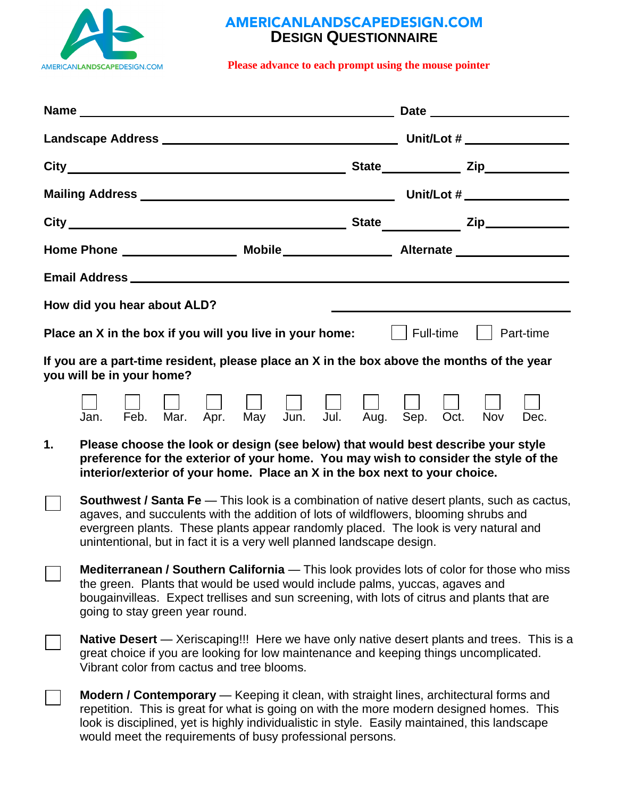

## AMERICANLANDSCAPEDESIGN.COM **DESIGN QUESTIONNAIRE**

**Please advance to each prompt using the mouse pointer** 

|                                                                                                                         | How did you hear about ALD?                                                                                                                                                                                                                                                                                                                                |  |  |             |  |
|-------------------------------------------------------------------------------------------------------------------------|------------------------------------------------------------------------------------------------------------------------------------------------------------------------------------------------------------------------------------------------------------------------------------------------------------------------------------------------------------|--|--|-------------|--|
|                                                                                                                         | <b>Place an X in the box if you will you live in your home:</b> $\vert \vert$ Full-time $\vert \vert$ Part-time                                                                                                                                                                                                                                            |  |  |             |  |
| If you are a part-time resident, please place an X in the box above the months of the year<br>you will be in your home? |                                                                                                                                                                                                                                                                                                                                                            |  |  |             |  |
|                                                                                                                         | Mar. Apr. May Jun. Jul. Aug. Sep. Oct.<br>Feb.<br>Jan.                                                                                                                                                                                                                                                                                                     |  |  | Nov<br>Dec. |  |
| 1.                                                                                                                      | Please choose the look or design (see below) that would best describe your style<br>preference for the exterior of your home. You may wish to consider the style of the<br>interior/exterior of your home. Place an X in the box next to your choice.                                                                                                      |  |  |             |  |
|                                                                                                                         | <b>Southwest / Santa Fe</b> — This look is a combination of native desert plants, such as cactus,<br>agaves, and succulents with the addition of lots of wildflowers, blooming shrubs and<br>evergreen plants. These plants appear randomly placed. The look is very natural and<br>unintentional, but in fact it is a very well planned landscape design. |  |  |             |  |
|                                                                                                                         | <b>Mediterranean / Southern California</b> — This look provides lots of color for those who miss<br>the green. Plants that would be used would include palms, yuccas, agaves and<br>bougainvilleas. Expect trellises and sun screening, with lots of citrus and plants that are<br>going to stay green year round.                                         |  |  |             |  |
|                                                                                                                         | <b>Native Desert</b> — Xeriscaping!!! Here we have only native desert plants and trees. This is a<br>great choice if you are looking for low maintenance and keeping things uncomplicated.<br>Vibrant color from cactus and tree blooms.                                                                                                                   |  |  |             |  |
|                                                                                                                         | <b>Modern / Contemporary</b> — Keeping it clean, with straight lines, architectural forms and<br>repetition. This is great for what is going on with the more modern designed homes. This<br>look is disciplined, yet is highly individualistic in style. Easily maintained, this landscape<br>would meet the requirements of busy professional persons.   |  |  |             |  |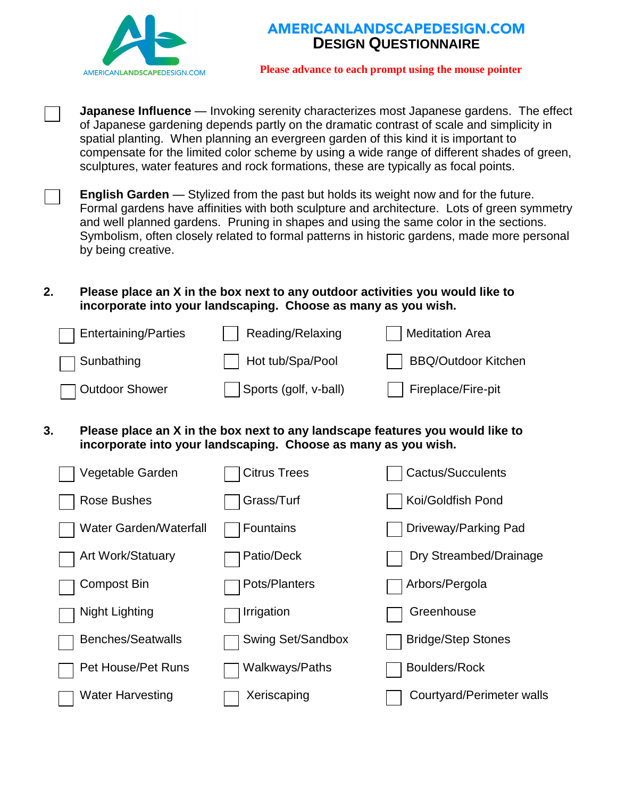



**Please advance to each prompt using the mouse pointer** 

**Japanese Influence** — Invoking serenity characterizes most Japanese gardens. The effect of Japanese gardening depends partly on the dramatic contrast of scale and simplicity in spatial planting. When planning an evergreen garden of this kind it is important to compensate for the limited color scheme by using a wide range of different shades of green, sculptures, water features and rock formations, these are typically as focal points.

**English Garden** — Stylized from the past but holds its weight now and for the future. Formal gardens have affinities with both sculpture and architecture. Lots of green symmetry and well planned gardens. Pruning in shapes and using the same color in the sections. Symbolism, often closely related to formal patterns in historic gardens, made more personal by being creative.

## **2. Please place an X in the box next to any outdoor activities you would like to incorporate into your landscaping. Choose as many as you wish.**

| Entertaining/Parties | Reading/Relaxing      | <b>Meditation Area</b> |
|----------------------|-----------------------|------------------------|
| $\Box$ Sunbathing    | Hot tub/Spa/Pool      | BBQ/Outdoor Kitchen    |
| □ Outdoor Shower     | Sports (golf, v-ball) | Fireplace/Fire-pit     |

**3. Please place an X in the box next to any landscape features you would like to incorporate into your landscaping. Choose as many as you wish.**

| Vegetable Garden              | <b>Citrus Trees</b> | Cactus/Succulents         |
|-------------------------------|---------------------|---------------------------|
| <b>Rose Bushes</b>            | Grass/Turf          | Koi/Goldfish Pond         |
| <b>Water Garden/Waterfall</b> | Fountains           | Driveway/Parking Pad      |
| Art Work/Statuary             | Patio/Deck          | Dry Streambed/Drainage    |
| <b>Compost Bin</b>            | Pots/Planters       | Arbors/Pergola            |
| <b>Night Lighting</b>         | Irrigation          | Greenhouse                |
| <b>Benches/Seatwalls</b>      | Swing Set/Sandbox   | <b>Bridge/Step Stones</b> |
| Pet House/Pet Runs            | Walkways/Paths      | <b>Boulders/Rock</b>      |
| <b>Water Harvesting</b>       | Xeriscaping         | Courtyard/Perimeter walls |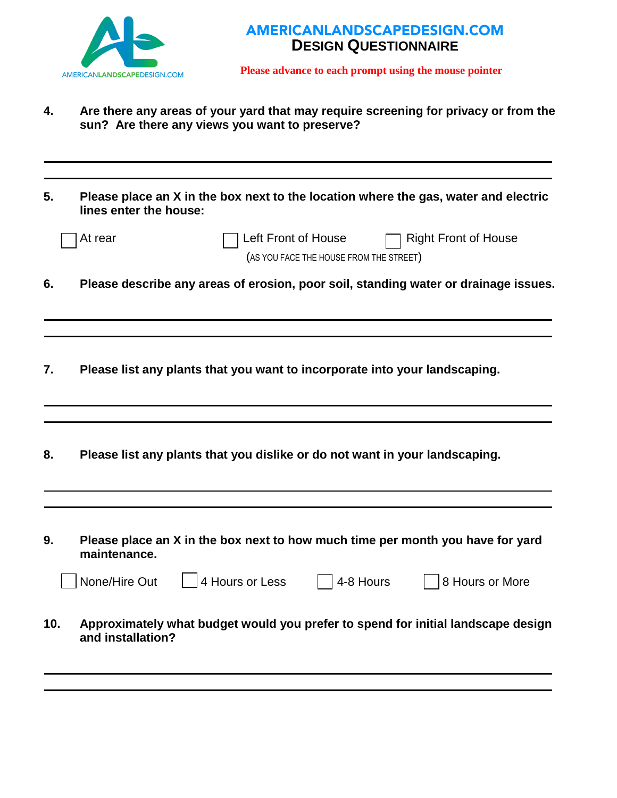

## AMERICANLANDSCAPEDESIGN.COM **DESIGN QUESTIONNAIRE**

**Please advance to each prompt using the mouse pointer** 

- **4. Are there any areas of your yard that may require screening for privacy or from the sun? Are there any views you want to preserve?**
- **5. Please place an X in the box next to the location where the gas, water and electric lines enter the house:**

|     | At rear           | Left Front of House                                                         | (AS YOU FACE THE HOUSE FROM THE STREET) | <b>Right Front of House</b>                                                         |
|-----|-------------------|-----------------------------------------------------------------------------|-----------------------------------------|-------------------------------------------------------------------------------------|
| 6.  |                   |                                                                             |                                         | Please describe any areas of erosion, poor soil, standing water or drainage issues. |
|     |                   |                                                                             |                                         |                                                                                     |
| 7.  |                   | Please list any plants that you want to incorporate into your landscaping.  |                                         |                                                                                     |
|     |                   |                                                                             |                                         |                                                                                     |
| 8.  |                   | Please list any plants that you dislike or do not want in your landscaping. |                                         |                                                                                     |
|     |                   |                                                                             |                                         |                                                                                     |
| 9.  | maintenance.      |                                                                             |                                         | Please place an X in the box next to how much time per month you have for yard      |
|     | None/Hire Out     | 4 Hours or Less                                                             | 4-8 Hours                               | 8 Hours or More                                                                     |
| 10. | and installation? |                                                                             |                                         | Approximately what budget would you prefer to spend for initial landscape design    |
|     |                   |                                                                             |                                         |                                                                                     |